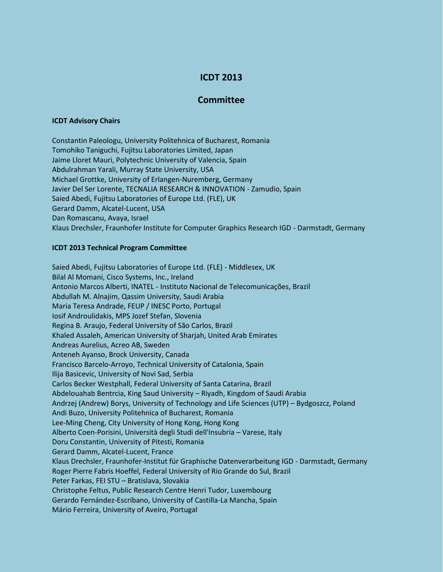## **ICDT 2013**

## **Committee**

## **ICDT Advisory Chairs**

Constantin Paleologu, University Politehnica of Bucharest, Romania Tomohiko Taniguchi, Fujitsu Laboratories Limited, Japan Jaime Lloret Mauri, Polytechnic University of Valencia, Spain Abdulrahman Yarali, Murray State University, USA Michael Grottke, University of Erlangen-Nuremberg, Germany Javier Del Ser Lorente, TECNALIA RESEARCH & INNOVATION - Zamudio, Spain Saied Abedi, Fujitsu Laboratories of Europe Ltd. (FLE), UK Gerard Damm, Alcatel-Lucent, USA Dan Romascanu, Avaya, Israel Klaus Drechsler, Fraunhofer Institute for Computer Graphics Research IGD - Darmstadt, Germany

## **ICDT 2013 Technical Program Committee**

Saied Abedi, Fujitsu Laboratories of Europe Ltd. (FLE) - Middlesex, UK Bilal Al Momani, Cisco Systems, Inc., Ireland Antonio Marcos Alberti, INATEL - Instituto Nacional de Telecomunicações, Brazil Abdullah M. Alnajim, Qassim University, Saudi Arabia Maria Teresa Andrade, FEUP / INESC Porto, Portugal Iosif Androulidakis, MPS Jozef Stefan, Slovenia Regina B. Araujo, Federal University of São Carlos, Brazil Khaled Assaleh, American University of Sharjah, United Arab Emirates Andreas Aurelius, Acreo AB, Sweden Anteneh Ayanso, Brock University, Canada Francisco Barcelo-Arroyo, Technical University of Catalonia, Spain Ilija Basicevic, University of Novi Sad, Serbia Carlos Becker Westphall, Federal University of Santa Catarina, Brazil Abdelouahab Bentrcia, King Saud University – Riyadh, Kingdom of Saudi Arabia Andrzej (Andrew) Borys, University of Technology and Life Sciences (UTP) – Bydgoszcz, Poland Andi Buzo, University Politehnica of Bucharest, Romania Lee-Ming Cheng, City University of Hong Kong, Hong Kong Alberto Coen-Porisini, Università degli Studi dell'Insubria – Varese, Italy Doru Constantin, University of Pitesti, Romania Gerard Damm, Alcatel-Lucent, France Klaus Drechsler, Fraunhofer-Institut für Graphische Datenverarbeitung IGD - Darmstadt, Germany Roger Pierre Fabris Hoeffel, Federal University of Rio Grande do Sul, Brazil Peter Farkas, FEI STU – Bratislava, Slovakia Christophe Feltus, Public Research Centre Henri Tudor, Luxembourg Gerardo Fernández-Escribano, University of Castilla-La Mancha, Spain Mário Ferreira, University of Aveiro, Portugal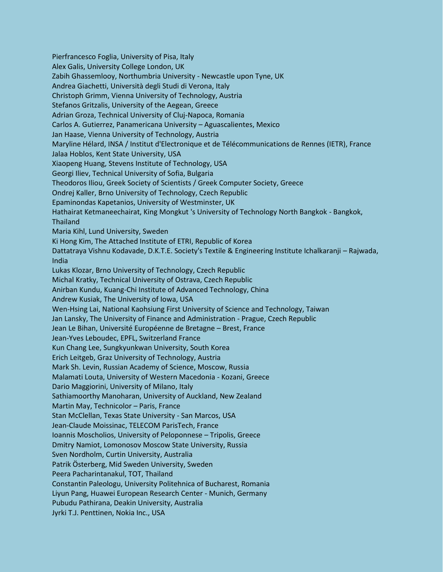Pierfrancesco Foglia, University of Pisa, Italy Alex Galis, University College London, UK Zabih Ghassemlooy, Northumbria University - Newcastle upon Tyne, UK Andrea Giachetti, Università degli Studi di Verona, Italy Christoph Grimm, Vienna University of Technology, Austria Stefanos Gritzalis, University of the Aegean, Greece Adrian Groza, Technical University of Cluj-Napoca, Romania Carlos A. Gutierrez, Panamericana University – Aguascalientes, Mexico Jan Haase, Vienna University of Technology, Austria Maryline Hélard, INSA / Institut d'Electronique et de Télécommunications de Rennes (IETR), France Jalaa Hoblos, Kent State University, USA Xiaopeng Huang, Stevens Institute of Technology, USA Georgi Iliev, Technical University of Sofia, Bulgaria Theodoros Iliou, Greek Society of Scientists / Greek Computer Society, Greece Ondrej Kaller, Brno University of Technology, Czech Republic Epaminondas Kapetanios, University of Westminster, UK Hathairat Ketmaneechairat, King Mongkut 's University of Technology North Bangkok - Bangkok, **Thailand** Maria Kihl, Lund University, Sweden Ki Hong Kim, The Attached Institute of ETRI, Republic of Korea Dattatraya Vishnu Kodavade, D.K.T.E. Society's Textile & Engineering Institute Ichalkaranji – Rajwada, India Lukas Klozar, Brno University of Technology, Czech Republic Michal Kratky, Technical University of Ostrava, Czech Republic Anirban Kundu, Kuang-Chi Institute of Advanced Technology, China Andrew Kusiak, The University of Iowa, USA Wen-Hsing Lai, National Kaohsiung First University of Science and Technology, Taiwan Jan Lansky, The University of Finance and Administration - Prague, Czech Republic Jean Le Bihan, Université Européenne de Bretagne – Brest, France Jean-Yves Leboudec, EPFL, Switzerland France Kun Chang Lee, Sungkyunkwan University, South Korea Erich Leitgeb, Graz University of Technology, Austria Mark Sh. Levin, Russian Academy of Science, Moscow, Russia Malamati Louta, University of Western Macedonia - Kozani, Greece Dario Maggiorini, University of Milano, Italy Sathiamoorthy Manoharan, University of Auckland, New Zealand Martin May, Technicolor – Paris, France Stan McClellan, Texas State University - San Marcos, USA Jean-Claude Moissinac, TELECOM ParisTech, France Ioannis Moscholios, University of Peloponnese – Tripolis, Greece Dmitry Namiot, Lomonosov Moscow State University, Russia Sven Nordholm, Curtin University, Australia Patrik Österberg, Mid Sweden University, Sweden Peera Pacharintanakul, TOT, Thailand Constantin Paleologu, University Politehnica of Bucharest, Romania Liyun Pang, Huawei European Research Center - Munich, Germany Pubudu Pathirana, Deakin University, Australia Jyrki T.J. Penttinen, Nokia Inc., USA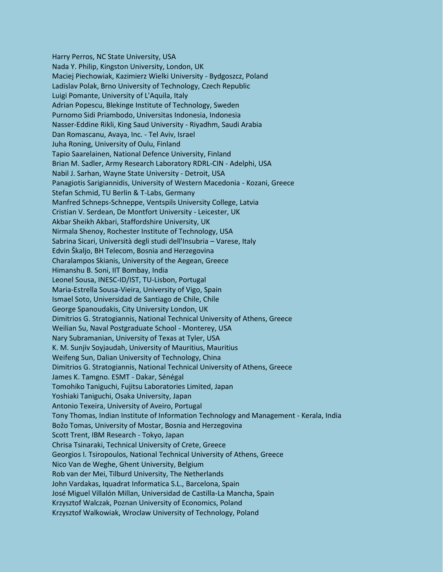Harry Perros, NC State University, USA Nada Y. Philip, Kingston University, London, UK Maciej Piechowiak, Kazimierz Wielki University - Bydgoszcz, Poland Ladislav Polak, Brno University of Technology, Czech Republic Luigi Pomante, University of L'Aquila, Italy Adrian Popescu, Blekinge Institute of Technology, Sweden Purnomo Sidi Priambodo, Universitas Indonesia, Indonesia Nasser-Eddine Rikli, King Saud University - Riyadhm, Saudi Arabia Dan Romascanu, Avaya, Inc. - Tel Aviv, Israel Juha Roning, University of Oulu, Finland Tapio Saarelainen, National Defence University, Finland Brian M. Sadler, Army Research Laboratory RDRL-CIN - Adelphi, USA Nabil J. Sarhan, Wayne State University - Detroit, USA Panagiotis Sarigiannidis, University of Western Macedonia - Kozani, Greece Stefan Schmid, TU Berlin & T-Labs, Germany Manfred Schneps-Schneppe, Ventspils University College, Latvia Cristian V. Serdean, De Montfort University - Leicester, UK Akbar Sheikh Akbari, Staffordshire University, UK Nirmala Shenoy, Rochester Institute of Technology, USA Sabrina Sicari, Università degli studi dell'Insubria – Varese, Italy Edvin Škaljo, BH Telecom, Bosnia and Herzegovina Charalampos Skianis, University of the Aegean, Greece Himanshu B. Soni, IIT Bombay, India Leonel Sousa, INESC-ID/IST, TU-Lisbon, Portugal Maria-Estrella Sousa-Vieira, University of Vigo, Spain Ismael Soto, Universidad de Santiago de Chile, Chile George Spanoudakis, City University London, UK Dimitrios G. Stratogiannis, National Technical University of Athens, Greece Weilian Su, Naval Postgraduate School - Monterey, USA Nary Subramanian, University of Texas at Tyler, USA K. M. Sunjiv Soyjaudah, University of Mauritius, Mauritius Weifeng Sun, Dalian University of Technology, China Dimitrios G. Stratogiannis, National Technical University of Athens, Greece James K. Tamgno. ESMT - Dakar, Sénégal Tomohiko Taniguchi, Fujitsu Laboratories Limited, Japan Yoshiaki Taniguchi, Osaka University, Japan Antonio Texeira, University of Aveiro, Portugal Tony Thomas, Indian Institute of Information Technology and Management - Kerala, India Božo Tomas, University of Mostar, Bosnia and Herzegovina Scott Trent, IBM Research - Tokyo, Japan Chrisa Tsinaraki, Technical University of Crete, Greece Georgios I. Tsiropoulos, National Technical University of Athens, Greece Nico Van de Weghe, Ghent University, Belgium Rob van der Mei, Tilburd University, The Netherlands John Vardakas, Iquadrat Informatica S.L., Barcelona, Spain José Miguel Villalón Millan, Universidad de Castilla-La Mancha, Spain Krzysztof Walczak, Poznan University of Economics, Poland Krzysztof Walkowiak, Wroclaw University of Technology, Poland